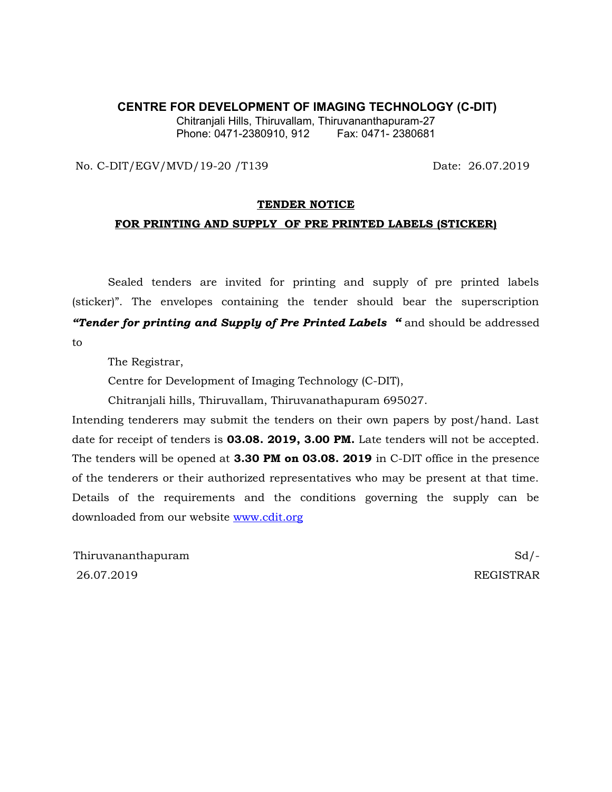#### **CENTRE FOR DEVELOPMENT OF IMAGING TECHNOLOGY (C-DIT)**

Chitranjali Hills, Thiruvallam, Thiruvananthapuram-27 Phone: 0471-2380910, 912 Fax: 0471- 2380681

No. C-DIT/EGV/MVD/19-20 /T139 Date: 26.07.2019

#### **TENDER NOTICE**

#### **FOR PRINTING AND SUPPLY OF PRE PRINTED LABELS (STICKER)**

Sealed tenders are invited for printing and supply of pre printed labels (sticker)". The envelopes containing the tender should bear the superscription *"Tender for printing and Supply of Pre Printed Labels "* and should be addressed to

The Registrar,

Centre for Development of Imaging Technology (C-DIT),

Chitranjali hills, Thiruvallam, Thiruvanathapuram 695027.

Intending tenderers may submit the tenders on their own papers by post/hand. Last date for receipt of tenders is **03.08. 2019, 3.00 PM.** Late tenders will not be accepted. The tenders will be opened at **3.30 PM on 03.08. 2019** in C-DIT office in the presence of the tenderers or their authorized representatives who may be present at that time. Details of the requirements and the conditions governing the supply can be downloaded from our website [www.cdit.org](http://www.cdit.org/)

Thiruvananthapuram Sd/-26.07.2019 REGISTRAR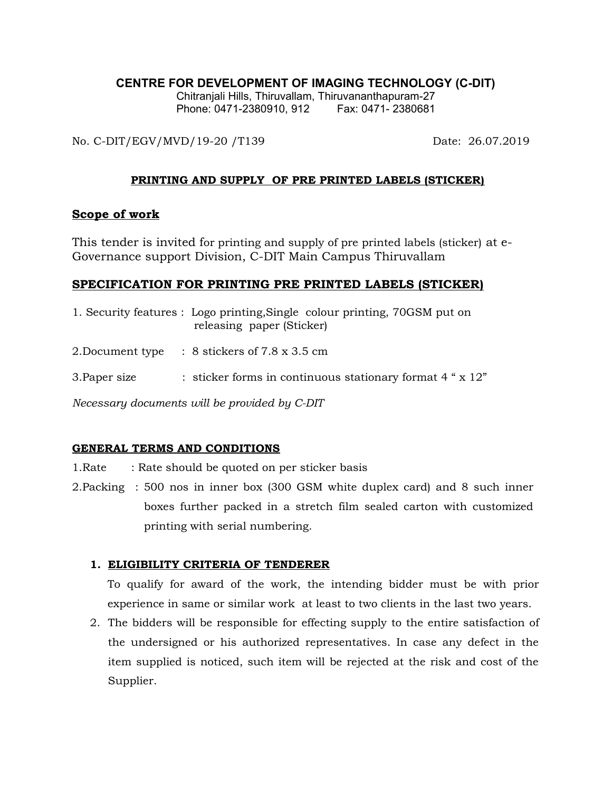# **CENTRE FOR DEVELOPMENT OF IMAGING TECHNOLOGY (C-DIT)**

Chitranjali Hills, Thiruvallam, Thiruvananthapuram-27 Phone: 0471-2380910, 912 Fax: 0471-2380681

No. C-DIT/EGV/MVD/19-20 /T139 Date: 26.07.2019

## **PRINTING AND SUPPLY OF PRE PRINTED LABELS (STICKER)**

# **Scope of work**

This tender is invited for printing and supply of pre printed labels (sticker) at e-Governance support Division, C-DIT Main Campus Thiruvallam

# **SPECIFICATION FOR PRINTING PRE PRINTED LABELS (STICKER)**

|                                               | 1. Security features : Logo printing, Single colour printing, 70GSM put on<br>releasing paper (Sticker) |
|-----------------------------------------------|---------------------------------------------------------------------------------------------------------|
| 2.Document type                               | $\therefore$ 8 stickers of 7.8 x 3.5 cm                                                                 |
| 3. Paper size                                 | : sticker forms in continuous stationary format $4$ " $\times$ 12"                                      |
| Necessary documents will be provided by C-DIT |                                                                                                         |

### **GENERAL TERMS AND CONDITIONS**

- 1. Rate : Rate should be quoted on per sticker basis
- 2.Packing : 500 nos in inner box (300 GSM white duplex card) and 8 such inner boxes further packed in a stretch film sealed carton with customized printing with serial numbering.

# **1. ELIGIBILITY CRITERIA OF TENDERER**

To qualify for award of the work, the intending bidder must be with prior experience in same or similar work at least to two clients in the last two years.

2. The bidders will be responsible for effecting supply to the entire satisfaction of the undersigned or his authorized representatives. In case any defect in the item supplied is noticed, such item will be rejected at the risk and cost of the Supplier.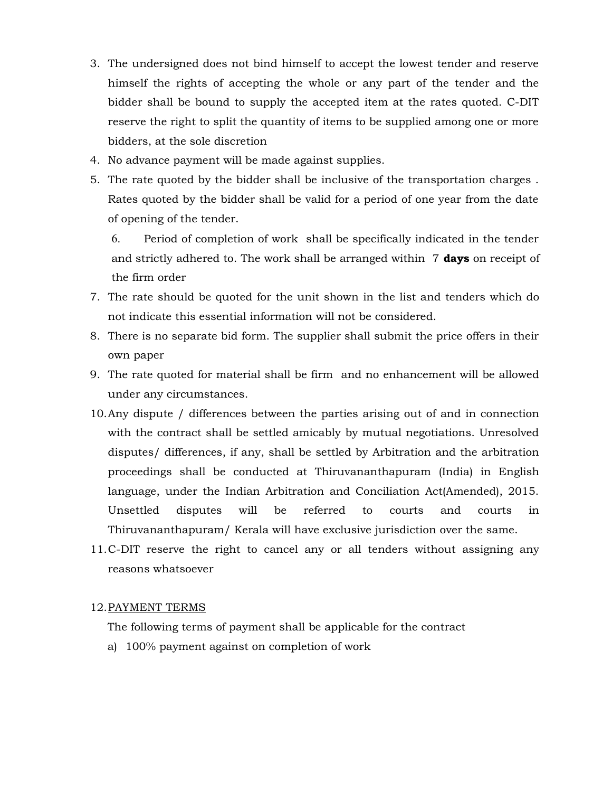- 3. The undersigned does not bind himself to accept the lowest tender and reserve himself the rights of accepting the whole or any part of the tender and the bidder shall be bound to supply the accepted item at the rates quoted. C-DIT reserve the right to split the quantity of items to be supplied among one or more bidders, at the sole discretion
- 4. No advance payment will be made against supplies.
- 5. The rate quoted by the bidder shall be inclusive of the transportation charges . Rates quoted by the bidder shall be valid for a period of one year from the date of opening of the tender.

6. Period of completion of work shall be specifically indicated in the tender and strictly adhered to. The work shall be arranged within 7 **days** on receipt of the firm order

- 7. The rate should be quoted for the unit shown in the list and tenders which do not indicate this essential information will not be considered.
- 8. There is no separate bid form. The supplier shall submit the price offers in their own paper
- 9. The rate quoted for material shall be firm and no enhancement will be allowed under any circumstances.
- 10.Any dispute / differences between the parties arising out of and in connection with the contract shall be settled amicably by mutual negotiations. Unresolved disputes/ differences, if any, shall be settled by Arbitration and the arbitration proceedings shall be conducted at Thiruvananthapuram (India) in English language, under the Indian Arbitration and Conciliation Act(Amended), 2015. Unsettled disputes will be referred to courts and courts in Thiruvananthapuram/ Kerala will have exclusive jurisdiction over the same.
- 11.C-DIT reserve the right to cancel any or all tenders without assigning any reasons whatsoever

### 12.PAYMENT TERMS

The following terms of payment shall be applicable for the contract

a) 100% payment against on completion of work